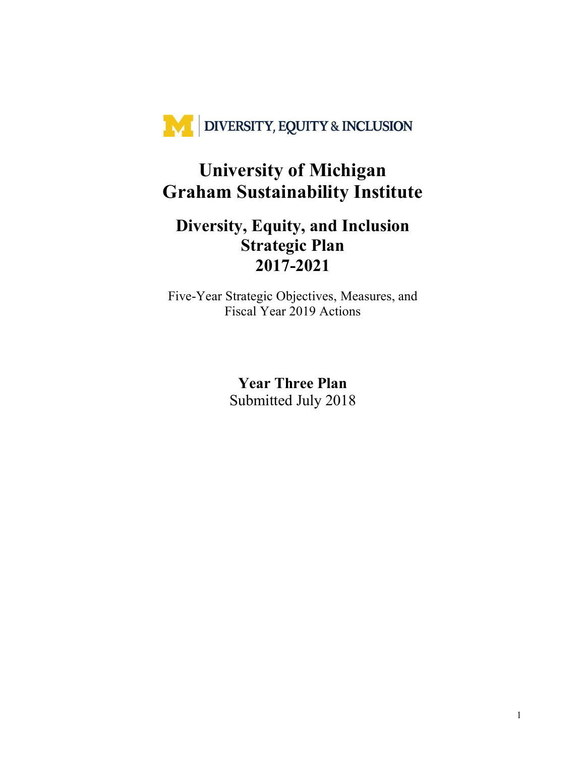

# **University of Michigan Graham Sustainability Institute**

# **Diversity, Equity, and Inclusion Strategic Plan 2017-2021**

Five-Year Strategic Objectives, Measures, and Fiscal Year 2019 Actions

> **Year Three Plan**  Submitted July 2018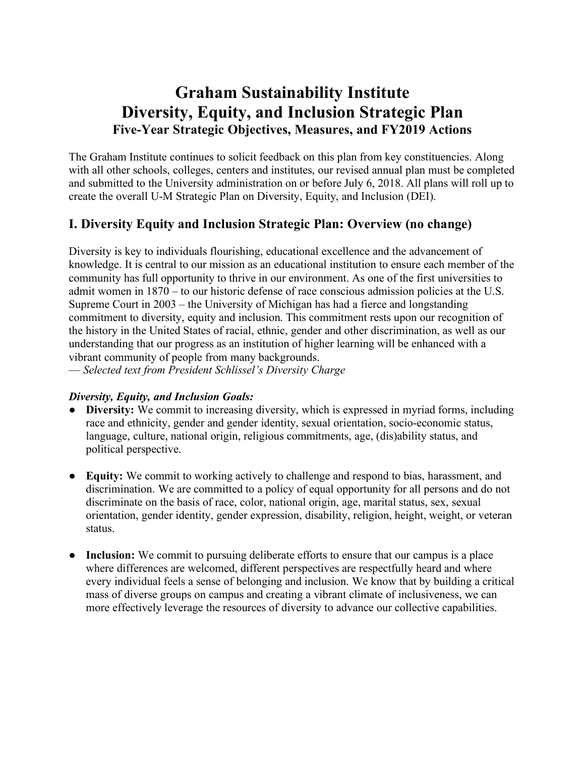# **Graham Sustainability Institute Diversity, Equity, and Inclusion Strategic Plan Five-Year Strategic Objectives, Measures, and FY2019 Actions**

The Graham Institute continues to solicit feedback on this plan from key constituencies. Along with all other schools, colleges, centers and institutes, our revised annual plan must be completed and submitted to the University administration on or before July 6, 2018. All plans will roll up to create the overall U-M Strategic Plan on Diversity, Equity, and Inclusion (DEI).

# **I. Diversity Equity and Inclusion Strategic Plan: Overview (no change)**

Diversity is key to individuals flourishing, educational excellence and the advancement of knowledge. It is central to our mission as an educational institution to ensure each member of the community has full opportunity to thrive in our environment. As one of the first universities to admit women in 1870 – to our historic defense of race conscious admission policies at the U.S. Supreme Court in 2003 – the University of Michigan has had a fierce and longstanding commitment to diversity, equity and inclusion. This commitment rests upon our recognition of the history in the United States of racial, ethnic, gender and other discrimination, as well as our understanding that our progress as an institution of higher learning will be enhanced with a vibrant community of people from many backgrounds.

— *Selected text from President Schlissel's Diversity Charge* 

# *Diversity, Equity, and Inclusion Goals:*

- **Diversity:** We commit to increasing diversity, which is expressed in myriad forms, including race and ethnicity, gender and gender identity, sexual orientation, socio-economic status, language, culture, national origin, religious commitments, age, (dis)ability status, and political perspective.
- **Equity:** We commit to working actively to challenge and respond to bias, harassment, and discrimination. We are committed to a policy of equal opportunity for all persons and do not discriminate on the basis of race, color, national origin, age, marital status, sex, sexual orientation, gender identity, gender expression, disability, religion, height, weight, or veteran status.
- **Inclusion:** We commit to pursuing deliberate efforts to ensure that our campus is a place where differences are welcomed, different perspectives are respectfully heard and where every individual feels a sense of belonging and inclusion. We know that by building a critical mass of diverse groups on campus and creating a vibrant climate of inclusiveness, we can more effectively leverage the resources of diversity to advance our collective capabilities.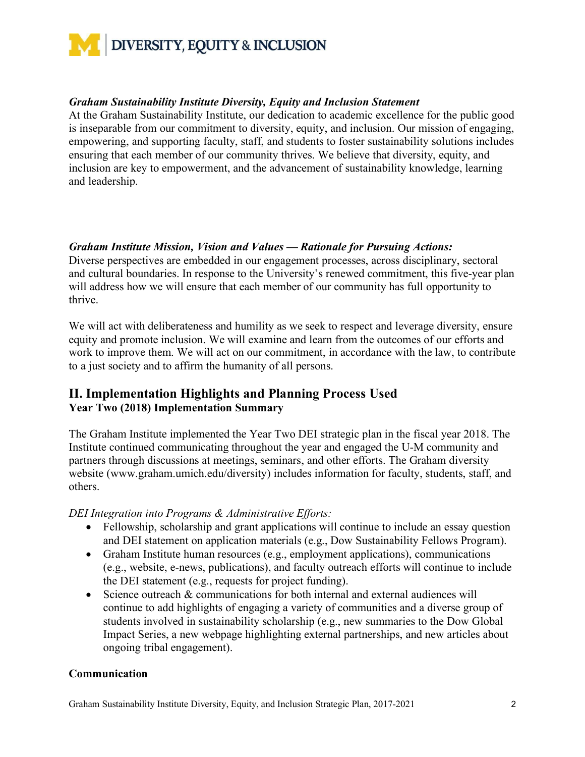

#### *Graham Sustainability Institute Diversity, Equity and Inclusion Statement*

At the Graham Sustainability Institute, our dedication to academic excellence for the public good is inseparable from our commitment to diversity, equity, and inclusion. Our mission of engaging, empowering, and supporting faculty, staff, and students to foster sustainability solutions includes ensuring that each member of our community thrives. We believe that diversity, equity, and inclusion are key to empowerment, and the advancement of sustainability knowledge, learning and leadership.

# *Graham Institute Mission, Vision and Values — Rationale for Pursuing Actions:*

Diverse perspectives are embedded in our engagement processes, across disciplinary, sectoral and cultural boundaries. In response to the University's renewed commitment, this five-year plan will address how we will ensure that each member of our community has full opportunity to thrive.

We will act with deliberateness and humility as we seek to respect and leverage diversity, ensure equity and promote inclusion. We will examine and learn from the outcomes of our efforts and work to improve them. We will act on our commitment, in accordance with the law, to contribute to a just society and to affirm the humanity of all persons.

# **II. Implementation Highlights and Planning Process Used Year Two (2018) Implementation Summary**

The Graham Institute implemented the Year Two DEI strategic plan in the fiscal year 2018. The Institute continued communicating throughout the year and engaged the U-M community and partners through discussions at meetings, seminars, and other efforts. The Graham diversity website (www.graham.umich.edu/diversity) includes information for faculty, students, staff, and others.

*DEI Integration into Programs & Administrative Efforts:*

- Fellowship, scholarship and grant applications will continue to include an essay question and DEI statement on application materials (e.g., Dow Sustainability Fellows Program).
- Graham Institute human resources (e.g., employment applications), communications (e.g., website, e-news, publications), and faculty outreach efforts will continue to include the DEI statement (e.g., requests for project funding).
- Science outreach & communications for both internal and external audiences will continue to add highlights of engaging a variety of communities and a diverse group of students involved in sustainability scholarship (e.g., new summaries to the Dow Global Impact Series, a new webpage highlighting external partnerships, and new articles about ongoing tribal engagement).

#### **Communication**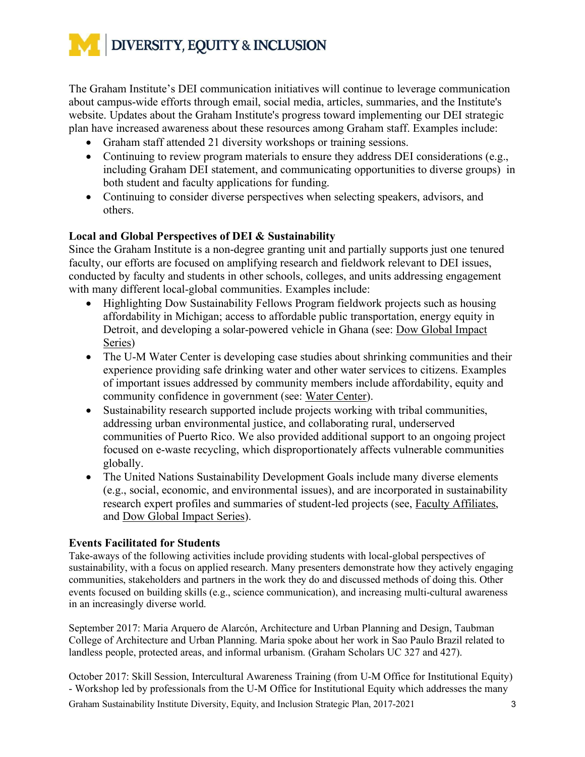

The Graham Institute's DEI communication initiatives will continue to leverage communication about campus-wide efforts through email, social media, articles, summaries, and the Institute's website. Updates about the Graham Institute's progress toward implementing our DEI strategic plan have increased awareness about these resources among Graham staff. Examples include:

- Graham staff attended 21 diversity workshops or training sessions.
- Continuing to review program materials to ensure they address DEI considerations (e.g., including Graham DEI statement, and communicating opportunities to diverse groups) in both student and faculty applications for funding.
- Continuing to consider diverse perspectives when selecting speakers, advisors, and others.

#### **Local and Global Perspectives of DEI & Sustainability**

Since the Graham Institute is a non-degree granting unit and partially supports just one tenured faculty, our efforts are focused on amplifying research and fieldwork relevant to DEI issues, conducted by faculty and students in other schools, colleges, and units addressing engagement with many different local-global communities. Examples include:

- Highlighting Dow Sustainability Fellows Program fieldwork projects such as housing affordability in Michigan; access to affordable public transportation, energy equity in Detroit, and developing a solar-powered vehicle in Ghana (see: Dow Global Impact Series)
- The U-M Water Center is developing case studies about shrinking communities and their experience providing safe drinking water and other water services to citizens. Examples of important issues addressed by community members include affordability, equity and community confidence in government (see: Water Center).
- Sustainability research supported include projects working with tribal communities, addressing urban environmental justice, and collaborating rural, underserved communities of Puerto Rico. We also provided additional support to an ongoing project focused on e-waste recycling, which disproportionately affects vulnerable communities globally.
- The United Nations Sustainability Development Goals include many diverse elements (e.g., social, economic, and environmental issues), and are incorporated in sustainability research expert profiles and summaries of student-led projects (see, Faculty Affiliates, and Dow Global Impact Series).

#### **Events Facilitated for Students**

Take-aways of the following activities include providing students with local-global perspectives of sustainability, with a focus on applied research. Many presenters demonstrate how they actively engaging communities, stakeholders and partners in the work they do and discussed methods of doing this. Other events focused on building skills (e.g., science communication), and increasing multi-cultural awareness in an increasingly diverse world.

September 2017: Maria Arquero de Alarcón, Architecture and Urban Planning and Design, Taubman College of Architecture and Urban Planning. Maria spoke about her work in Sao Paulo Brazil related to landless people, protected areas, and informal urbanism. (Graham Scholars UC 327 and 427).

October 2017: Skill Session, Intercultural Awareness Training (from U-M Office for Institutional Equity) - Workshop led by professionals from the U-M Office for Institutional Equity which addresses the many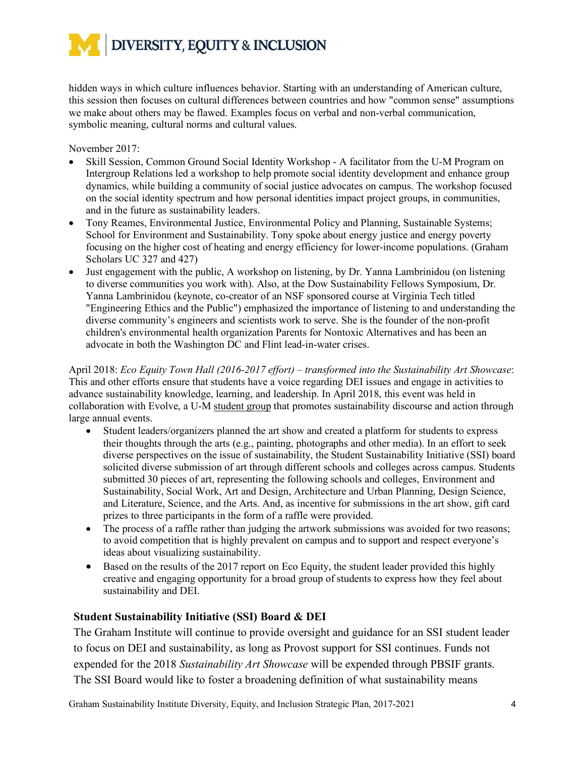hidden ways in which culture influences behavior. Starting with an understanding of American culture, this session then focuses on cultural differences between countries and how "common sense" assumptions we make about others may be flawed. Examples focus on verbal and non-verbal communication, symbolic meaning, cultural norms and cultural values.

November 2017:

- Skill Session, Common Ground Social Identity Workshop A facilitator from the U-M Program on Intergroup Relations led a workshop to help promote social identity development and enhance group dynamics, while building a community of social justice advocates on campus. The workshop focused on the social identity spectrum and how personal identities impact project groups, in communities, and in the future as sustainability leaders.
- Tony Reames, Environmental Justice, Environmental Policy and Planning, Sustainable Systems; School for Environment and Sustainability. Tony spoke about energy justice and energy poverty focusing on the higher cost of heating and energy efficiency for lower-income populations. (Graham Scholars UC 327 and 427)
- Just engagement with the public, A workshop on listening, by Dr. Yanna Lambrinidou (on listening to diverse communities you work with). Also, at the Dow Sustainability Fellows Symposium, Dr. Yanna Lambrinidou (keynote, co-creator of an NSF sponsored course at Virginia Tech titled "Engineering Ethics and the Public") emphasized the importance of listening to and understanding the diverse community's engineers and scientists work to serve. She is the founder of the non-profit children's environmental health organization Parents for Nontoxic Alternatives and has been an advocate in both the Washington DC and Flint lead-in-water crises.

April 2018: *Eco Equity Town Hall (2016-2017 effort) – transformed into the Sustainability Art Showcase*: This and other efforts ensure that students have a voice regarding DEI issues and engage in activities to advance sustainability knowledge, learning, and leadership. In April 2018, this event was held in collaboration with Evolve, a U-M student group that promotes sustainability discourse and action through large annual events.

- Student leaders/organizers planned the art show and created a platform for students to express their thoughts through the arts (e.g., painting, photographs and other media). In an effort to seek diverse perspectives on the issue of sustainability, the Student Sustainability Initiative (SSI) board solicited diverse submission of art through different schools and colleges across campus. Students submitted 30 pieces of art, representing the following schools and colleges, Environment and Sustainability, Social Work, Art and Design, Architecture and Urban Planning, Design Science, and Literature, Science, and the Arts. And, as incentive for submissions in the art show, gift card prizes to three participants in the form of a raffle were provided.
- The process of a raffle rather than judging the artwork submissions was avoided for two reasons; to avoid competition that is highly prevalent on campus and to support and respect everyone's ideas about visualizing sustainability.
- Based on the results of the 2017 report on Eco Equity, the student leader provided this highly creative and engaging opportunity for a broad group of students to express how they feel about sustainability and DEI.

# **Student Sustainability Initiative (SSI) Board & DEI**

The Graham Institute will continue to provide oversight and guidance for an SSI student leader to focus on DEI and sustainability, as long as Provost support for SSI continues. Funds not expended for the 2018 *Sustainability Art Showcase* will be expended through PBSIF grants. The SSI Board would like to foster a broadening definition of what sustainability means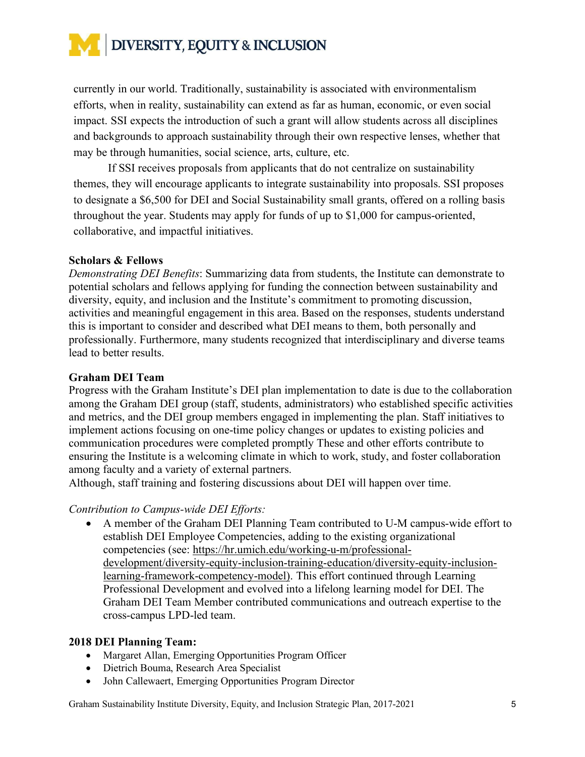

currently in our world. Traditionally, sustainability is associated with environmentalism efforts, when in reality, sustainability can extend as far as human, economic, or even social impact. SSI expects the introduction of such a grant will allow students across all disciplines and backgrounds to approach sustainability through their own respective lenses, whether that may be through humanities, social science, arts, culture, etc.

If SSI receives proposals from applicants that do not centralize on sustainability themes, they will encourage applicants to integrate sustainability into proposals. SSI proposes to designate a \$6,500 for DEI and Social Sustainability small grants, offered on a rolling basis throughout the year. Students may apply for funds of up to \$1,000 for campus-oriented, collaborative, and impactful initiatives.

#### **Scholars & Fellows**

*Demonstrating DEI Benefits*: Summarizing data from students, the Institute can demonstrate to potential scholars and fellows applying for funding the connection between sustainability and diversity, equity, and inclusion and the Institute's commitment to promoting discussion, activities and meaningful engagement in this area. Based on the responses, students understand this is important to consider and described what DEI means to them, both personally and professionally. Furthermore, many students recognized that interdisciplinary and diverse teams lead to better results.

#### **Graham DEI Team**

Progress with the Graham Institute's DEI plan implementation to date is due to the collaboration among the Graham DEI group (staff, students, administrators) who established specific activities and metrics, and the DEI group members engaged in implementing the plan. Staff initiatives to implement actions focusing on one-time policy changes or updates to existing policies and communication procedures were completed promptly These and other efforts contribute to ensuring the Institute is a welcoming climate in which to work, study, and foster collaboration among faculty and a variety of external partners.

Although, staff training and fostering discussions about DEI will happen over time.

# *Contribution to Campus-wide DEI Efforts:*

• A member of the Graham DEI Planning Team contributed to U-M campus-wide effort to establish DEI Employee Competencies, adding to the existing organizational competencies (see: https://hr.umich.edu/working-u-m/professionaldevelopment/diversity-equity-inclusion-training-education/diversity-equity-inclusionlearning-framework-competency-model). This effort continued through Learning Professional Development and evolved into a lifelong learning model for DEI. The Graham DEI Team Member contributed communications and outreach expertise to the cross-campus LPD-led team.

#### **2018 DEI Planning Team:**

- Margaret Allan, Emerging Opportunities Program Officer
- Dietrich Bouma, Research Area Specialist
- John Callewaert, Emerging Opportunities Program Director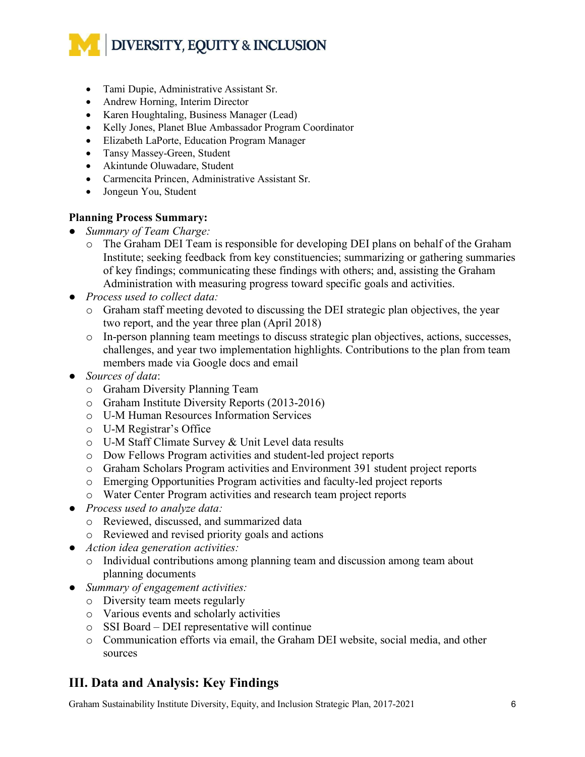- Tami Dupie, Administrative Assistant Sr.
- Andrew Horning, Interim Director
- Karen Houghtaling, Business Manager (Lead)
- Kelly Jones, Planet Blue Ambassador Program Coordinator
- Elizabeth LaPorte, Education Program Manager
- Tansy Massey-Green, Student
- Akintunde Oluwadare, Student
- Carmencita Princen, Administrative Assistant Sr.
- Jongeun You, Student

#### **Planning Process Summary:**

- *Summary of Team Charge:*
	- o The Graham DEI Team is responsible for developing DEI plans on behalf of the Graham Institute; seeking feedback from key constituencies; summarizing or gathering summaries of key findings; communicating these findings with others; and, assisting the Graham Administration with measuring progress toward specific goals and activities.
- *Process used to collect data:* 
	- o Graham staff meeting devoted to discussing the DEI strategic plan objectives, the year two report, and the year three plan (April 2018)
	- o In-person planning team meetings to discuss strategic plan objectives, actions, successes, challenges, and year two implementation highlights. Contributions to the plan from team members made via Google docs and email
- *Sources of data*:
	- o Graham Diversity Planning Team
	- o Graham Institute Diversity Reports (2013-2016)
	- o U-M Human Resources Information Services
	- o U-M Registrar's Office
	- o U-M Staff Climate Survey & Unit Level data results
	- o Dow Fellows Program activities and student-led project reports
	- o Graham Scholars Program activities and Environment 391 student project reports
	- o Emerging Opportunities Program activities and faculty-led project reports
	- o Water Center Program activities and research team project reports
- *Process used to analyze data:*
	- o Reviewed, discussed, and summarized data
	- o Reviewed and revised priority goals and actions
- *Action idea generation activities:* 
	- o Individual contributions among planning team and discussion among team about planning documents
- *Summary of engagement activities:*
	- o Diversity team meets regularly
	- o Various events and scholarly activities
	- o SSI Board DEI representative will continue
	- o Communication efforts via email, the Graham DEI website, social media, and other sources

# **III. Data and Analysis: Key Findings**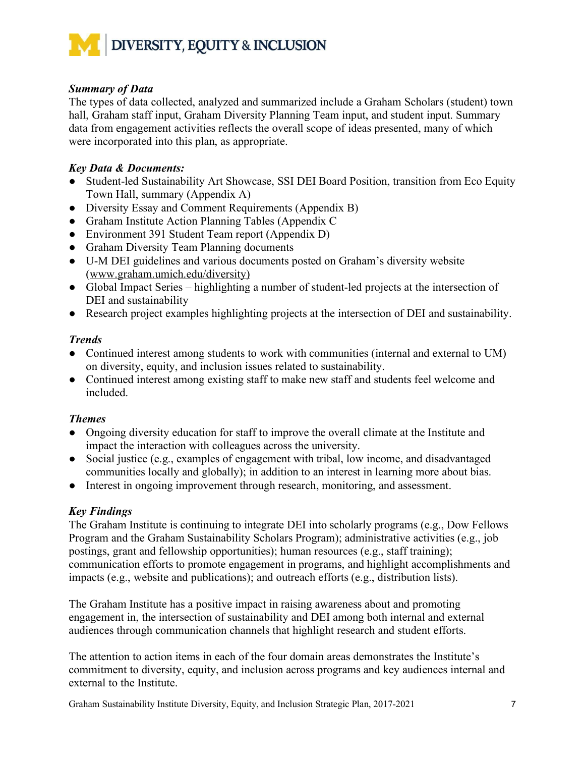

# *Summary of Data*

The types of data collected, analyzed and summarized include a Graham Scholars (student) town hall, Graham staff input, Graham Diversity Planning Team input, and student input. Summary data from engagement activities reflects the overall scope of ideas presented, many of which were incorporated into this plan, as appropriate.

# *Key Data & Documents:*

- Student-led Sustainability Art Showcase, SSI DEI Board Position, transition from Eco Equity Town Hall, summary (Appendix A)
- Diversity Essay and Comment Requirements (Appendix B)
- Graham Institute Action Planning Tables (Appendix C
- Environment 391 Student Team report (Appendix D)
- Graham Diversity Team Planning documents
- U-M DEI guidelines and various documents posted on Graham's diversity website (www.graham.umich.edu/diversity)
- Global Impact Series highlighting a number of student-led projects at the intersection of DEI and sustainability
- Research project examples highlighting projects at the intersection of DEI and sustainability.

# *Trends*

- Continued interest among students to work with communities (internal and external to UM) on diversity, equity, and inclusion issues related to sustainability.
- Continued interest among existing staff to make new staff and students feel welcome and included.

# *Themes*

- Ongoing diversity education for staff to improve the overall climate at the Institute and impact the interaction with colleagues across the university.
- Social justice (e.g., examples of engagement with tribal, low income, and disadvantaged communities locally and globally); in addition to an interest in learning more about bias.
- Interest in ongoing improvement through research, monitoring, and assessment.

# *Key Findings*

The Graham Institute is continuing to integrate DEI into scholarly programs (e.g., Dow Fellows Program and the Graham Sustainability Scholars Program); administrative activities (e.g., job postings, grant and fellowship opportunities); human resources (e.g., staff training); communication efforts to promote engagement in programs, and highlight accomplishments and impacts (e.g., website and publications); and outreach efforts (e.g., distribution lists).

The Graham Institute has a positive impact in raising awareness about and promoting engagement in, the intersection of sustainability and DEI among both internal and external audiences through communication channels that highlight research and student efforts.

The attention to action items in each of the four domain areas demonstrates the Institute's commitment to diversity, equity, and inclusion across programs and key audiences internal and external to the Institute.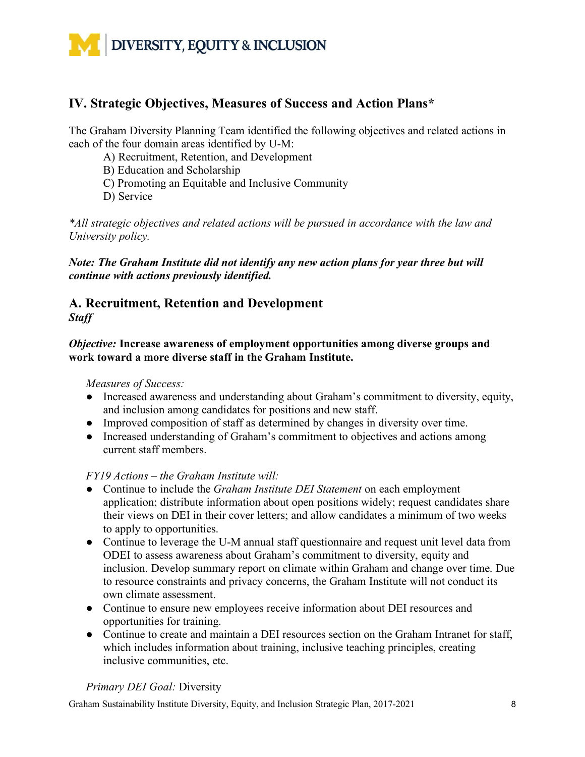

# **IV. Strategic Objectives, Measures of Success and Action Plans\***

The Graham Diversity Planning Team identified the following objectives and related actions in each of the four domain areas identified by U-M:

A) Recruitment, Retention, and Development

B) Education and Scholarship

C) Promoting an Equitable and Inclusive Community

D) Service

*\*All strategic objectives and related actions will be pursued in accordance with the law and University policy.* 

*Note: The Graham Institute did not identify any new action plans for year three but will continue with actions previously identified.* 

# **A. Recruitment, Retention and Development** *Staff*

*Objective:* **Increase awareness of employment opportunities among diverse groups and work toward a more diverse staff in the Graham Institute.**

*Measures of Success:* 

- Increased awareness and understanding about Graham's commitment to diversity, equity, and inclusion among candidates for positions and new staff.
- Improved composition of staff as determined by changes in diversity over time.
- Increased understanding of Graham's commitment to objectives and actions among current staff members.

# *FY19 Actions – the Graham Institute will:*

- Continue to include the *Graham Institute DEI Statement* on each employment application; distribute information about open positions widely; request candidates share their views on DEI in their cover letters; and allow candidates a minimum of two weeks to apply to opportunities.
- Continue to leverage the U-M annual staff questionnaire and request unit level data from ODEI to assess awareness about Graham's commitment to diversity, equity and inclusion. Develop summary report on climate within Graham and change over time. Due to resource constraints and privacy concerns, the Graham Institute will not conduct its own climate assessment.
- Continue to ensure new employees receive information about DEI resources and opportunities for training.
- Continue to create and maintain a DEI resources section on the Graham Intranet for staff, which includes information about training, inclusive teaching principles, creating inclusive communities, etc.

# *Primary DEI Goal:* Diversity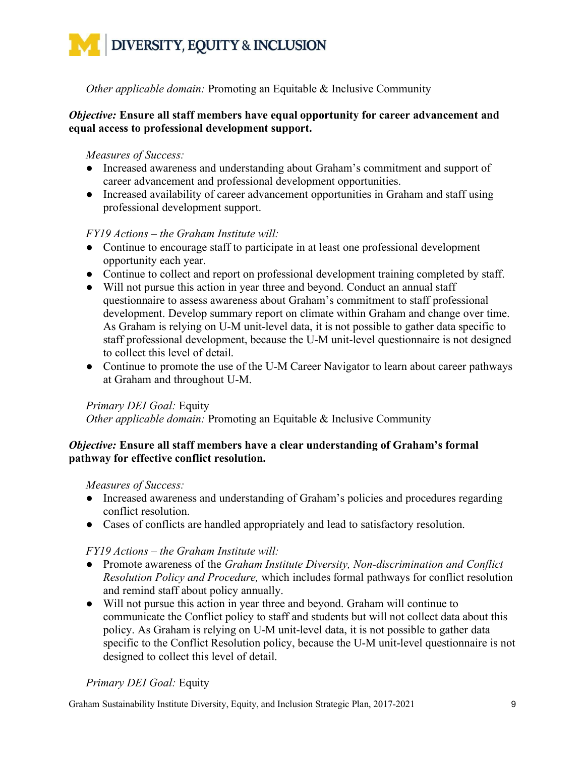*Other applicable domain:* Promoting an Equitable & Inclusive Community

# *Objective:* **Ensure all staff members have equal opportunity for career advancement and equal access to professional development support.**

# *Measures of Success:*

- Increased awareness and understanding about Graham's commitment and support of career advancement and professional development opportunities.
- Increased availability of career advancement opportunities in Graham and staff using professional development support.

# *FY19 Actions – the Graham Institute will:*

- Continue to encourage staff to participate in at least one professional development opportunity each year.
- Continue to collect and report on professional development training completed by staff.
- Will not pursue this action in year three and beyond. Conduct an annual staff questionnaire to assess awareness about Graham's commitment to staff professional development. Develop summary report on climate within Graham and change over time. As Graham is relying on U-M unit-level data, it is not possible to gather data specific to staff professional development, because the U-M unit-level questionnaire is not designed to collect this level of detail.
- Continue to promote the use of the U-M Career Navigator to learn about career pathways at Graham and throughout U-M.

# *Primary DEI Goal:* Equity

*Other applicable domain:* Promoting an Equitable & Inclusive Community

# *Objective:* **Ensure all staff members have a clear understanding of Graham's formal pathway for effective conflict resolution.**

# *Measures of Success:*

- Increased awareness and understanding of Graham's policies and procedures regarding conflict resolution.
- Cases of conflicts are handled appropriately and lead to satisfactory resolution.

# *FY19 Actions – the Graham Institute will:*

- Promote awareness of the *Graham Institute Diversity, Non-discrimination and Conflict Resolution Policy and Procedure,* which includes formal pathways for conflict resolution and remind staff about policy annually.
- Will not pursue this action in year three and beyond. Graham will continue to communicate the Conflict policy to staff and students but will not collect data about this policy. As Graham is relying on U-M unit-level data, it is not possible to gather data specific to the Conflict Resolution policy, because the U-M unit-level questionnaire is not designed to collect this level of detail.

# *Primary DEI Goal:* Equity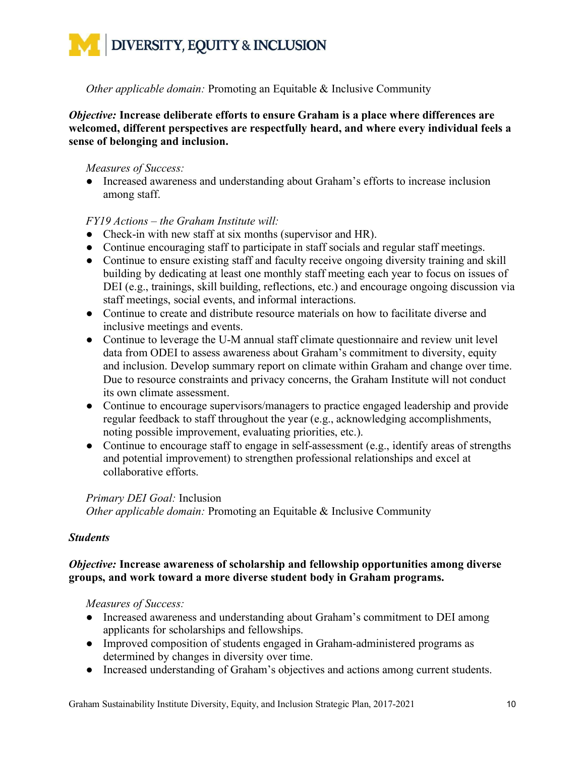

*Other applicable domain:* Promoting an Equitable & Inclusive Community

*Objective:* **Increase deliberate efforts to ensure Graham is a place where differences are welcomed, different perspectives are respectfully heard, and where every individual feels a sense of belonging and inclusion.** 

# *Measures of Success:*

● Increased awareness and understanding about Graham's efforts to increase inclusion among staff.

# *FY19 Actions – the Graham Institute will:*

- Check-in with new staff at six months (supervisor and HR).
- Continue encouraging staff to participate in staff socials and regular staff meetings.
- Continue to ensure existing staff and faculty receive ongoing diversity training and skill building by dedicating at least one monthly staff meeting each year to focus on issues of DEI (e.g., trainings, skill building, reflections, etc.) and encourage ongoing discussion via staff meetings, social events, and informal interactions.
- Continue to create and distribute resource materials on how to facilitate diverse and inclusive meetings and events.
- Continue to leverage the U-M annual staff climate questionnaire and review unit level data from ODEI to assess awareness about Graham's commitment to diversity, equity and inclusion. Develop summary report on climate within Graham and change over time. Due to resource constraints and privacy concerns, the Graham Institute will not conduct its own climate assessment.
- Continue to encourage supervisors/managers to practice engaged leadership and provide regular feedback to staff throughout the year (e.g., acknowledging accomplishments, noting possible improvement, evaluating priorities, etc.).
- Continue to encourage staff to engage in self-assessment (e.g., identify areas of strengths and potential improvement) to strengthen professional relationships and excel at collaborative efforts.

# *Primary DEI Goal:* Inclusion

*Other applicable domain:* Promoting an Equitable & Inclusive Community

# *Students*

# *Objective:* **Increase awareness of scholarship and fellowship opportunities among diverse groups, and work toward a more diverse student body in Graham programs.**

*Measures of Success:* 

- Increased awareness and understanding about Graham's commitment to DEI among applicants for scholarships and fellowships.
- Improved composition of students engaged in Graham-administered programs as determined by changes in diversity over time.
- Increased understanding of Graham's objectives and actions among current students.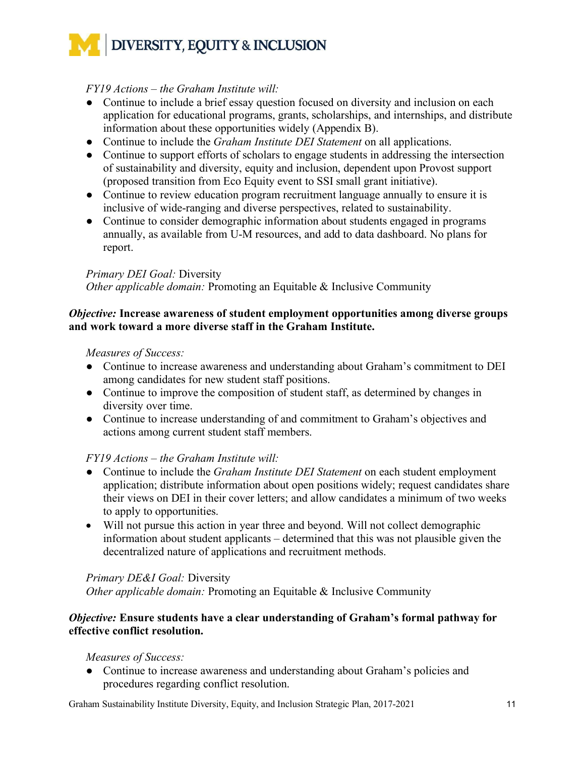# *FY19 Actions – the Graham Institute will:*

- Continue to include a brief essay question focused on diversity and inclusion on each application for educational programs, grants, scholarships, and internships, and distribute information about these opportunities widely (Appendix B).
- Continue to include the *Graham Institute DEI Statement* on all applications.
- Continue to support efforts of scholars to engage students in addressing the intersection of sustainability and diversity, equity and inclusion, dependent upon Provost support (proposed transition from Eco Equity event to SSI small grant initiative).
- Continue to review education program recruitment language annually to ensure it is inclusive of wide-ranging and diverse perspectives, related to sustainability.
- Continue to consider demographic information about students engaged in programs annually, as available from U-M resources, and add to data dashboard. No plans for report.

# *Primary DEI Goal:* Diversity

*Other applicable domain:* Promoting an Equitable & Inclusive Community

# *Objective:* **Increase awareness of student employment opportunities among diverse groups and work toward a more diverse staff in the Graham Institute.**

# *Measures of Success:*

- Continue to increase awareness and understanding about Graham's commitment to DEI among candidates for new student staff positions.
- Continue to improve the composition of student staff, as determined by changes in diversity over time.
- Continue to increase understanding of and commitment to Graham's objectives and actions among current student staff members.

# *FY19 Actions – the Graham Institute will:*

- Continue to include the *Graham Institute DEI Statement* on each student employment application; distribute information about open positions widely; request candidates share their views on DEI in their cover letters; and allow candidates a minimum of two weeks to apply to opportunities.
- Will not pursue this action in year three and beyond. Will not collect demographic information about student applicants – determined that this was not plausible given the decentralized nature of applications and recruitment methods.

# *Primary DE&I Goal:* Diversity

*Other applicable domain:* Promoting an Equitable & Inclusive Community

# *Objective:* **Ensure students have a clear understanding of Graham's formal pathway for effective conflict resolution.**

# *Measures of Success:*

● Continue to increase awareness and understanding about Graham's policies and procedures regarding conflict resolution.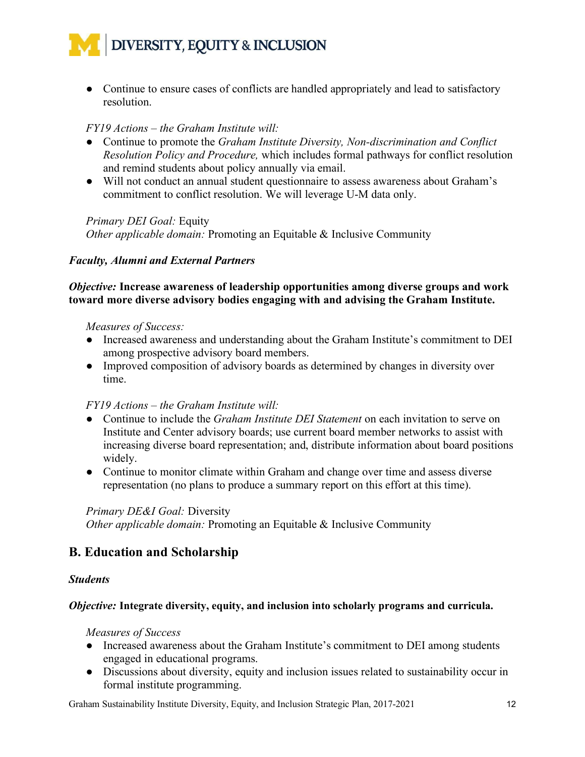

• Continue to ensure cases of conflicts are handled appropriately and lead to satisfactory resolution.

#### *FY19 Actions – the Graham Institute will:*

- Continue to promote the *Graham Institute Diversity, Non-discrimination and Conflict Resolution Policy and Procedure,* which includes formal pathways for conflict resolution and remind students about policy annually via email.
- Will not conduct an annual student questionnaire to assess awareness about Graham's commitment to conflict resolution. We will leverage U-M data only.

*Primary DEI Goal:* Equity

*Other applicable domain:* Promoting an Equitable & Inclusive Community

#### *Faculty, Alumni and External Partners*

#### *Objective:* **Increase awareness of leadership opportunities among diverse groups and work toward more diverse advisory bodies engaging with and advising the Graham Institute.**

#### *Measures of Success:*

- Increased awareness and understanding about the Graham Institute's commitment to DEI among prospective advisory board members.
- Improved composition of advisory boards as determined by changes in diversity over time.

# *FY19 Actions – the Graham Institute will:*

- Continue to include the *Graham Institute DEI Statement* on each invitation to serve on Institute and Center advisory boards; use current board member networks to assist with increasing diverse board representation; and, distribute information about board positions widely.
- Continue to monitor climate within Graham and change over time and assess diverse representation (no plans to produce a summary report on this effort at this time).

#### *Primary DE&I Goal:* Diversity

*Other applicable domain:* Promoting an Equitable & Inclusive Community

# **B. Education and Scholarship**

#### *Students*

#### *Objective:* **Integrate diversity, equity, and inclusion into scholarly programs and curricula.**

#### *Measures of Success*

- Increased awareness about the Graham Institute's commitment to DEI among students engaged in educational programs.
- Discussions about diversity, equity and inclusion issues related to sustainability occur in formal institute programming.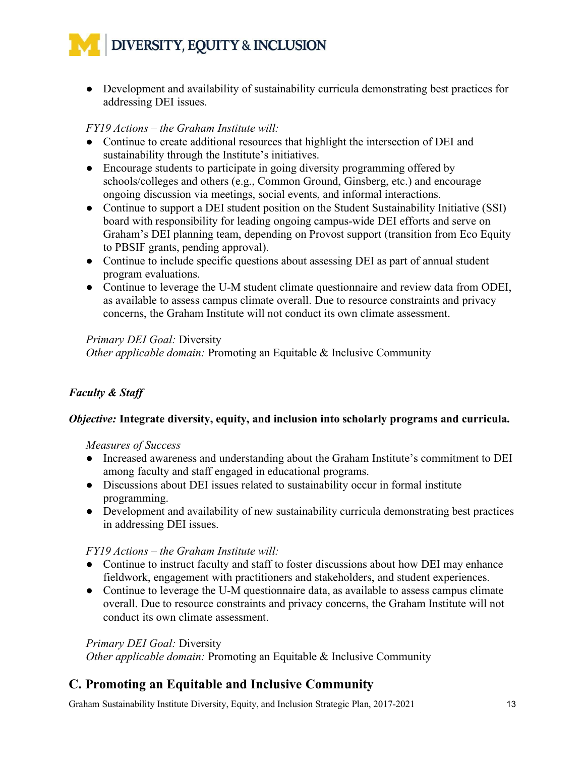

● Development and availability of sustainability curricula demonstrating best practices for addressing DEI issues.

# *FY19 Actions – the Graham Institute will:*

- Continue to create additional resources that highlight the intersection of DEI and sustainability through the Institute's initiatives.
- Encourage students to participate in going diversity programming offered by schools/colleges and others (e.g., Common Ground, Ginsberg, etc.) and encourage ongoing discussion via meetings, social events, and informal interactions.
- Continue to support a DEI student position on the Student Sustainability Initiative (SSI) board with responsibility for leading ongoing campus-wide DEI efforts and serve on Graham's DEI planning team, depending on Provost support (transition from Eco Equity to PBSIF grants, pending approval).
- Continue to include specific questions about assessing DEI as part of annual student program evaluations.
- Continue to leverage the U-M student climate questionnaire and review data from ODEI, as available to assess campus climate overall. Due to resource constraints and privacy concerns, the Graham Institute will not conduct its own climate assessment.

# *Primary DEI Goal:* Diversity

*Other applicable domain:* Promoting an Equitable & Inclusive Community

# *Faculty & Staff*

# *Objective:* **Integrate diversity, equity, and inclusion into scholarly programs and curricula.**

# *Measures of Success*

- Increased awareness and understanding about the Graham Institute's commitment to DEI among faculty and staff engaged in educational programs.
- Discussions about DEI issues related to sustainability occur in formal institute programming.
- Development and availability of new sustainability curricula demonstrating best practices in addressing DEI issues.

# *FY19 Actions – the Graham Institute will:*

- Continue to instruct faculty and staff to foster discussions about how DEI may enhance fieldwork, engagement with practitioners and stakeholders, and student experiences.
- Continue to leverage the U-M questionnaire data, as available to assess campus climate overall. Due to resource constraints and privacy concerns, the Graham Institute will not conduct its own climate assessment.

# *Primary DEI Goal:* Diversity

*Other applicable domain:* Promoting an Equitable & Inclusive Community

# **C. Promoting an Equitable and Inclusive Community**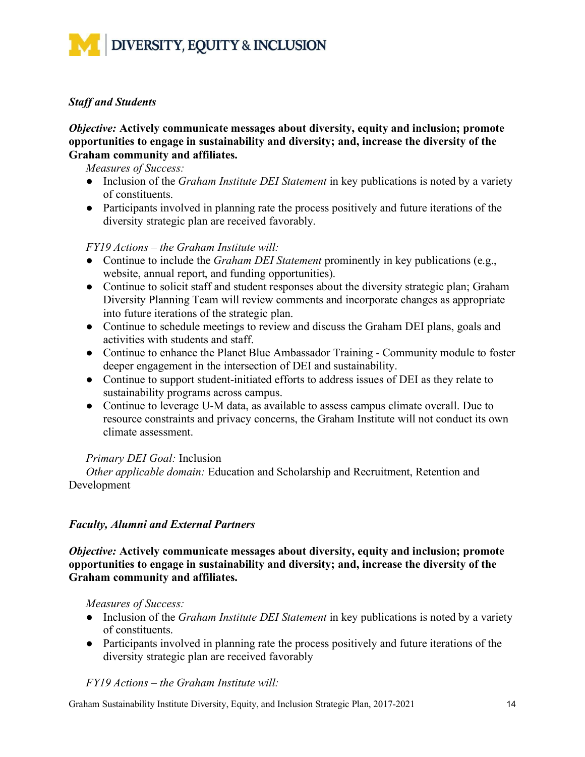

# *Staff and Students*

#### *Objective:* **Actively communicate messages about diversity, equity and inclusion; promote opportunities to engage in sustainability and diversity; and, increase the diversity of the Graham community and affiliates.**

*Measures of Success:*

- Inclusion of the *Graham Institute DEI Statement* in key publications is noted by a variety of constituents.
- Participants involved in planning rate the process positively and future iterations of the diversity strategic plan are received favorably.

# *FY19 Actions – the Graham Institute will:*

- Continue to include the *Graham DEI Statement* prominently in key publications (e.g., website, annual report, and funding opportunities).
- Continue to solicit staff and student responses about the diversity strategic plan; Graham Diversity Planning Team will review comments and incorporate changes as appropriate into future iterations of the strategic plan.
- Continue to schedule meetings to review and discuss the Graham DEI plans, goals and activities with students and staff.
- Continue to enhance the Planet Blue Ambassador Training Community module to foster deeper engagement in the intersection of DEI and sustainability.
- Continue to support student-initiated efforts to address issues of DEI as they relate to sustainability programs across campus.
- Continue to leverage U-M data, as available to assess campus climate overall. Due to resource constraints and privacy concerns, the Graham Institute will not conduct its own climate assessment.

#### *Primary DEI Goal:* Inclusion

*Other applicable domain:* Education and Scholarship and Recruitment, Retention and Development

# *Faculty, Alumni and External Partners*

*Objective:* **Actively communicate messages about diversity, equity and inclusion; promote opportunities to engage in sustainability and diversity; and, increase the diversity of the Graham community and affiliates.** 

*Measures of Success:*

- Inclusion of the *Graham Institute DEI Statement* in key publications is noted by a variety of constituents.
- Participants involved in planning rate the process positively and future iterations of the diversity strategic plan are received favorably

*FY19 Actions – the Graham Institute will:*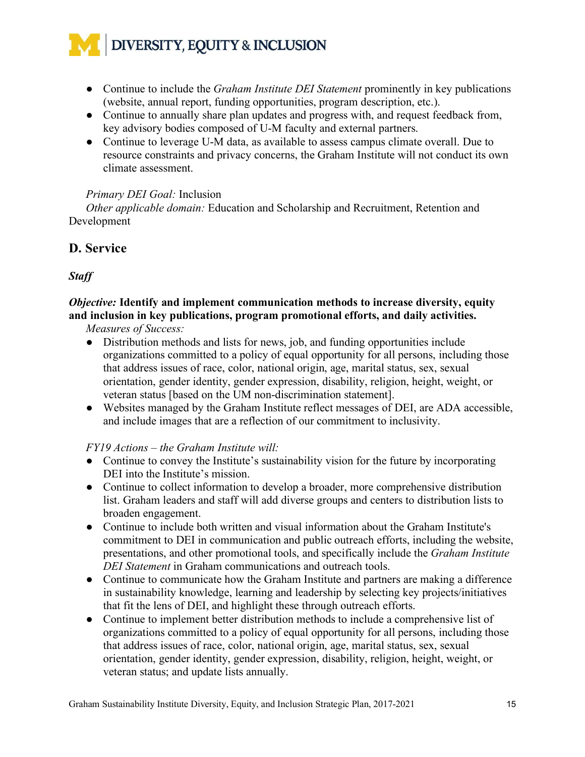- Continue to include the *Graham Institute DEI Statement* prominently in key publications (website, annual report, funding opportunities, program description, etc.).
- Continue to annually share plan updates and progress with, and request feedback from, key advisory bodies composed of U-M faculty and external partners.
- Continue to leverage U-M data, as available to assess campus climate overall. Due to resource constraints and privacy concerns, the Graham Institute will not conduct its own climate assessment.

# *Primary DEI Goal:* Inclusion

*Other applicable domain:* Education and Scholarship and Recruitment, Retention and Development

# **D. Service**

# *Staff*

# *Objective:* **Identify and implement communication methods to increase diversity, equity and inclusion in key publications, program promotional efforts, and daily activities.**

*Measures of Success:* 

- Distribution methods and lists for news, job, and funding opportunities include organizations committed to a policy of equal opportunity for all persons, including those that address issues of race, color, national origin, age, marital status, sex, sexual orientation, gender identity, gender expression, disability, religion, height, weight, or veteran status [based on the UM non-discrimination statement].
- Websites managed by the Graham Institute reflect messages of DEI, are ADA accessible, and include images that are a reflection of our commitment to inclusivity.

# *FY19 Actions – the Graham Institute will:*

- Continue to convey the Institute's sustainability vision for the future by incorporating DEI into the Institute's mission.
- Continue to collect information to develop a broader, more comprehensive distribution list. Graham leaders and staff will add diverse groups and centers to distribution lists to broaden engagement.
- Continue to include both written and visual information about the Graham Institute's commitment to DEI in communication and public outreach efforts, including the website, presentations, and other promotional tools, and specifically include the *Graham Institute DEI Statement* in Graham communications and outreach tools.
- Continue to communicate how the Graham Institute and partners are making a difference in sustainability knowledge, learning and leadership by selecting key projects/initiatives that fit the lens of DEI, and highlight these through outreach efforts.
- Continue to implement better distribution methods to include a comprehensive list of organizations committed to a policy of equal opportunity for all persons, including those that address issues of race, color, national origin, age, marital status, sex, sexual orientation, gender identity, gender expression, disability, religion, height, weight, or veteran status; and update lists annually.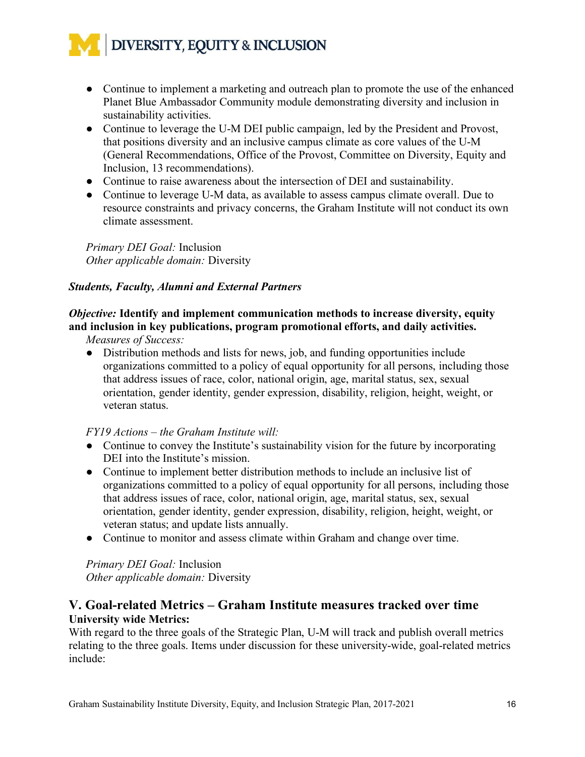- Continue to implement a marketing and outreach plan to promote the use of the enhanced Planet Blue Ambassador Community module demonstrating diversity and inclusion in sustainability activities.
- Continue to leverage the U-M DEI public campaign, led by the President and Provost, that positions diversity and an inclusive campus climate as core values of the U-M (General Recommendations, Office of the Provost, Committee on Diversity, Equity and Inclusion, 13 recommendations).
- Continue to raise awareness about the intersection of DEI and sustainability.
- Continue to leverage U-M data, as available to assess campus climate overall. Due to resource constraints and privacy concerns, the Graham Institute will not conduct its own climate assessment.

*Primary DEI Goal:* Inclusion *Other applicable domain:* Diversity

# *Students, Faculty, Alumni and External Partners*

# *Objective:* **Identify and implement communication methods to increase diversity, equity and inclusion in key publications, program promotional efforts, and daily activities.**

*Measures of Success:* 

• Distribution methods and lists for news, job, and funding opportunities include organizations committed to a policy of equal opportunity for all persons, including those that address issues of race, color, national origin, age, marital status, sex, sexual orientation, gender identity, gender expression, disability, religion, height, weight, or veteran status.

# *FY19 Actions – the Graham Institute will:*

- Continue to convey the Institute's sustainability vision for the future by incorporating DEI into the Institute's mission.
- Continue to implement better distribution methods to include an inclusive list of organizations committed to a policy of equal opportunity for all persons, including those that address issues of race, color, national origin, age, marital status, sex, sexual orientation, gender identity, gender expression, disability, religion, height, weight, or veteran status; and update lists annually.
- Continue to monitor and assess climate within Graham and change over time.

*Primary DEI Goal:* Inclusion *Other applicable domain:* Diversity

# **V. Goal-related Metrics – Graham Institute measures tracked over time University wide Metrics:**

With regard to the three goals of the Strategic Plan, U-M will track and publish overall metrics relating to the three goals. Items under discussion for these university-wide, goal-related metrics include: